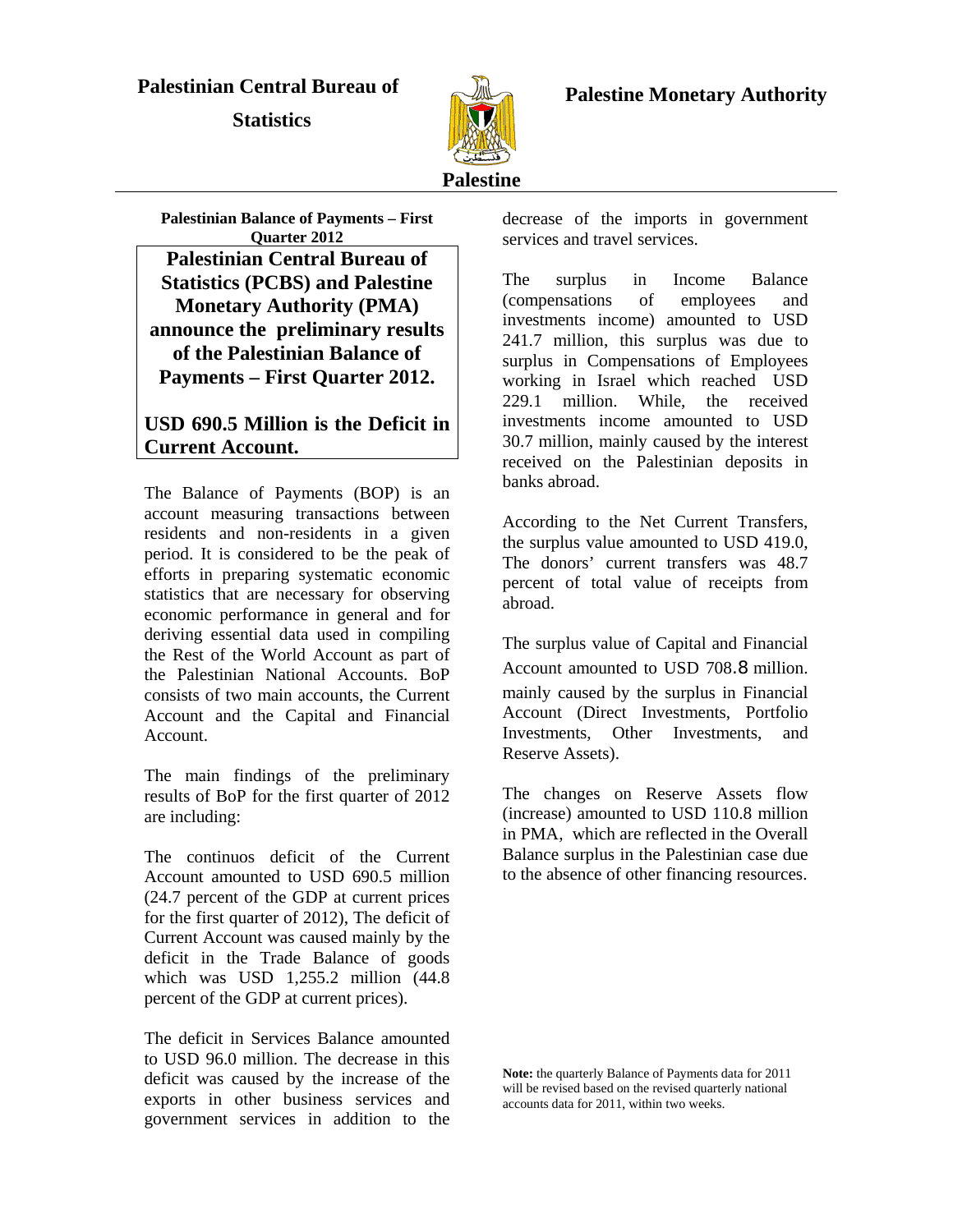#### **Palestinian Central Bureau of**

 **Statistics** 



 **Palestine Monetary Authority** 

# **Palestine**

**Palestinian Balance of Payments – First Quarter 2012 Palestinian Central Bureau of Statistics (PCBS) and Palestine Monetary Authority (PMA) announce the preliminary results of the Palestinian Balance of Payments – First Quarter 2012.** 

#### **USD 690.5 Million is the Deficit in Current Account.**

The Balance of Payments (BOP) is an account measuring transactions between residents and non-residents in a given period. It is considered to be the peak of efforts in preparing systematic economic statistics that are necessary for observing economic performance in general and for deriving essential data used in compiling the Rest of the World Account as part of the Palestinian National Accounts. BoP consists of two main accounts, the Current Account and the Capital and Financial Account.

The main findings of the preliminary results of BoP for the first quarter of 2012 are including:

The continuos deficit of the Current Account amounted to USD 690.5 million (24.7 percent of the GDP at current prices for the first quarter of 2012), The deficit of Current Account was caused mainly by the deficit in the Trade Balance of goods which was USD 1,255.2 million (44.8 percent of the GDP at current prices).

The deficit in Services Balance amounted to USD 96.0 million. The decrease in this deficit was caused by the increase of the exports in other business services and government services in addition to the decrease of the imports in government services and travel services.

The surplus in Income Balance (compensations of employees and investments income) amounted to USD 241.7 million, this surplus was due to surplus in Compensations of Employees working in Israel which reached USD 229.1 million. While, the received investments income amounted to USD 30.7 million, mainly caused by the interest received on the Palestinian deposits in banks abroad.

According to the Net Current Transfers, the surplus value amounted to USD 419.0, The donors' current transfers was 48.7 percent of total value of receipts from abroad.

The surplus value of Capital and Financial Account amounted to USD 708.8 million. mainly caused by the surplus in Financial Account (Direct Investments, Portfolio Investments, Other Investments, and Reserve Assets).

The changes on Reserve Assets flow (increase) amounted to USD 110.8 million in PMA, which are reflected in the Overall Balance surplus in the Palestinian case due to the absence of other financing resources.

**Note:** the quarterly Balance of Payments data for 2011 will be revised based on the revised quarterly national accounts data for 2011, within two weeks.